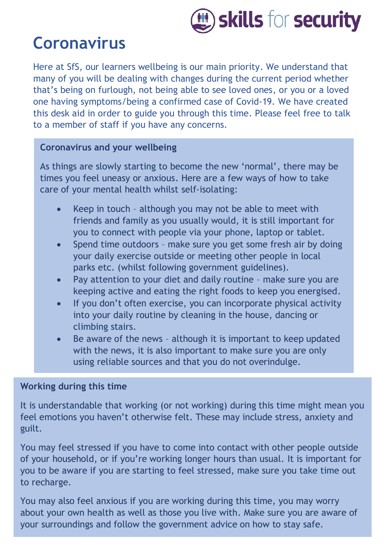

# **Coronavirus**

Here at SfS, our learners wellbeing is our main priority. We understand that many of you will be dealing with changes during the current period whether that's being on furlough, not being able to see loved ones, or you or a loved one having symptoms/being a confirmed case of Covid-19. We have created this desk aid in order to guide you through this time. Please feel free to talk to a member of staff if you have any concerns.

## **Coronavirus and your wellbeing**

As things are slowly starting to become the new 'normal', there may be times you feel uneasy or anxious. Here are a few ways of how to take care of your mental health whilst self-isolating:

- Keep in touch although you may not be able to meet with friends and family as you usually would, it is still important for you to connect with people via your phone, laptop or tablet.
- Spend time outdoors make sure you get some fresh air by doing your daily exercise outside or meeting other people in local parks etc. (whilst following government guidelines).
- Pay attention to your diet and daily routine make sure you are keeping active and eating the right foods to keep you energised.
- If you don't often exercise, you can incorporate physical activity into your daily routine by cleaning in the house, dancing or climbing stairs.
- Be aware of the news although it is important to keep updated with the news, it is also important to make sure you are only using reliable sources and that you do not overindulge.

## **Working during this time**

It is understandable that working (or not working) during this time might mean you feel emotions you haven't otherwise felt. These may include stress, anxiety and guilt.

You may feel stressed if you have to come into contact with other people outside of your household, or if you're working longer hours than usual. It is important for you to be aware if you are starting to feel stressed, make sure you take time out to recharge.

You may also feel anxious if you are working during this time, you may worry about your own health as well as those you live with. Make sure you are aware of your surroundings and follow the government advice on how to stay safe.